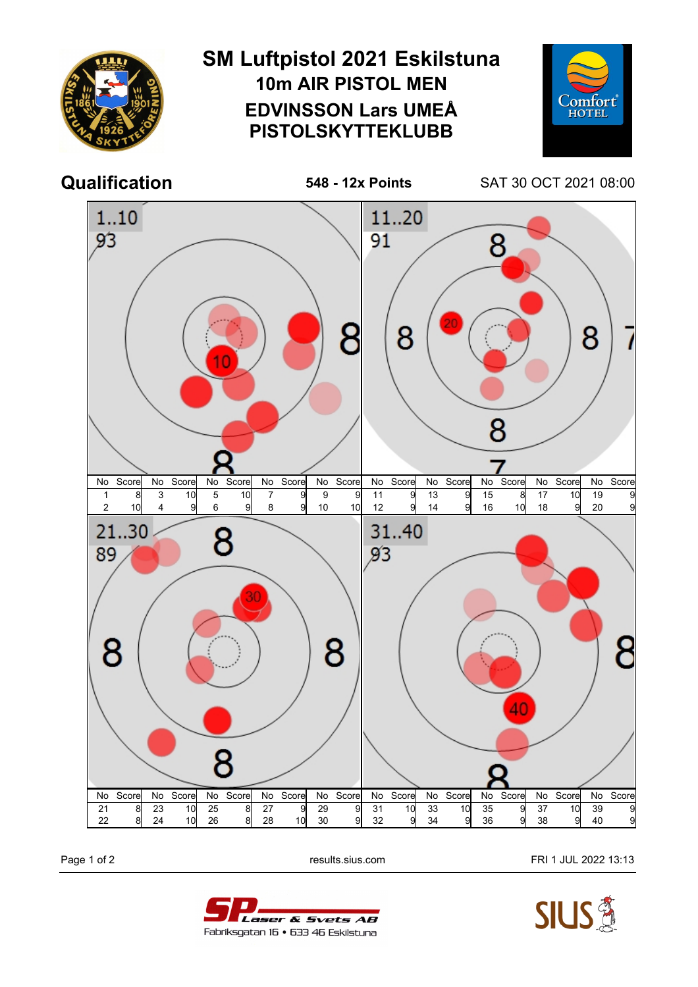

Page 1 of 2 **Page 1 of 2** results.sius.com **FRI 1 JUL 2022 13:13**